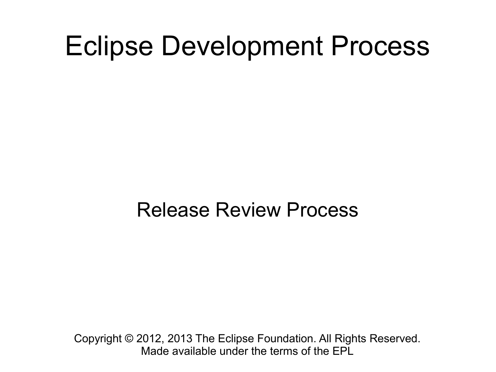#### Eclipse Development Process

#### Release Review Process

Copyright © 2012, 2013 The Eclipse Foundation. All Rights Reserved. Made available under the terms of the EPL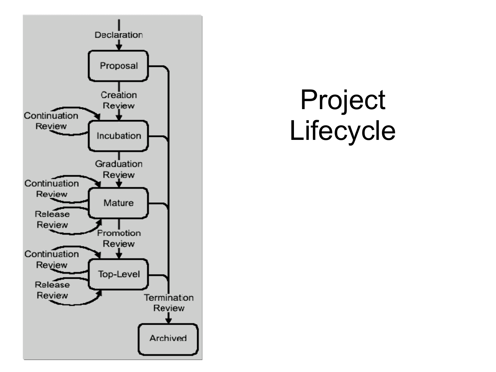

## Project Lifecycle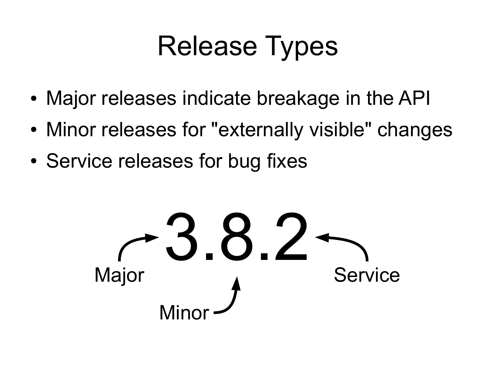## Release Types

- Major releases indicate breakage in the API
- Minor releases for "externally visible" changes
- Service releases for bug fixes

3.8.2 Major Minor **Service**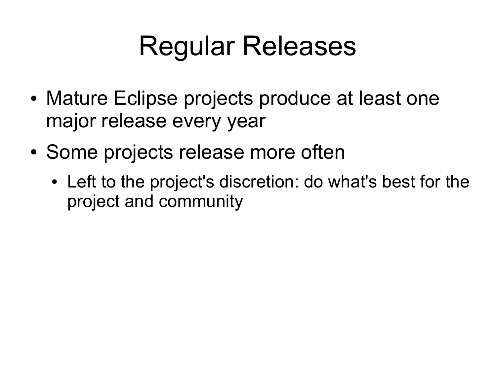## Regular Releases

- Mature Eclipse projects produce at least one major release every year
- Some projects release more often
	- Left to the project's discretion: do what's best for the project and community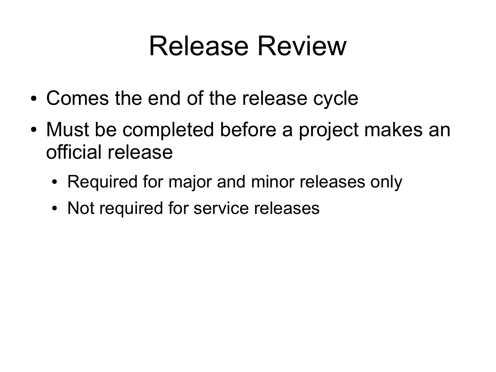#### Release Review

- Comes the end of the release cycle
- Must be completed before a project makes an official release
	- Required for major and minor releases only
	- Not required for service releases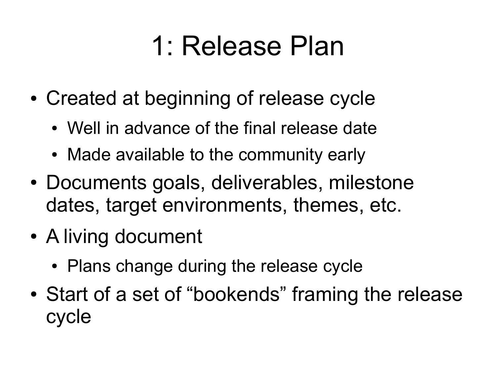## 1: Release Plan

- Created at beginning of release cycle
	- Well in advance of the final release date
	- Made available to the community early
- Documents goals, deliverables, milestone dates, target environments, themes, etc.
- A living document
	- Plans change during the release cycle
- Start of a set of "bookends" framing the release cycle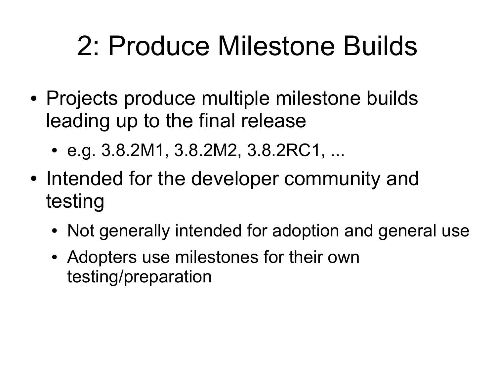## 2: Produce Milestone Builds

- Projects produce multiple milestone builds leading up to the final release
	- e.g. 3.8.2M1, 3.8.2M2, 3.8.2RC1, ...
- Intended for the developer community and testing
	- Not generally intended for adoption and general use
	- Adopters use milestones for their own testing/preparation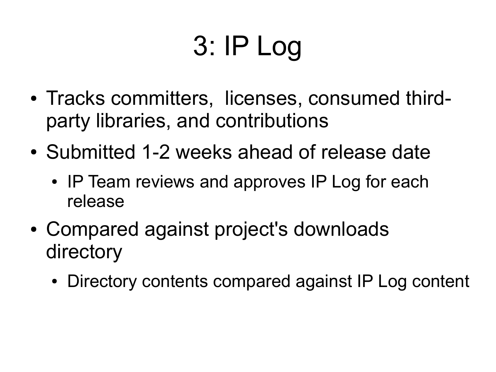# 3: IP Log

- Tracks committers, licenses, consumed thirdparty libraries, and contributions
- Submitted 1-2 weeks ahead of release date
	- IP Team reviews and approves IP Log for each release
- Compared against project's downloads directory
	- Directory contents compared against IP Log content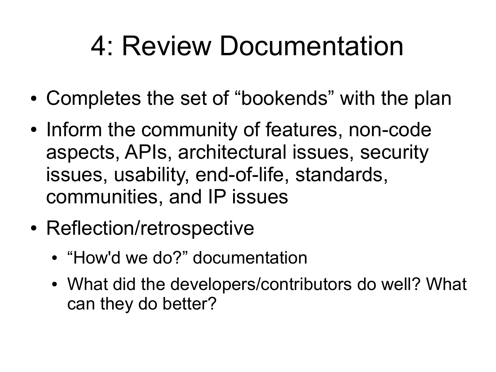## 4: Review Documentation

- Completes the set of "bookends" with the plan
- Inform the community of features, non-code aspects, APIs, architectural issues, security issues, usability, end-of-life, standards, communities, and IP issues
- Reflection/retrospective
	- "How'd we do?" documentation
	- What did the developers/contributors do well? What can they do better?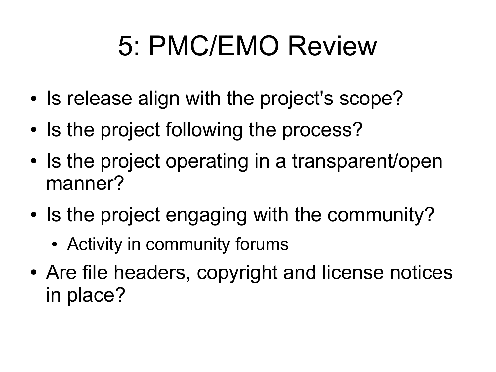## 5: PMC/EMO Review

- Is release align with the project's scope?
- Is the project following the process?
- Is the project operating in a transparent/open manner?
- Is the project engaging with the community?
	- Activity in community forums
- Are file headers, copyright and license notices in place?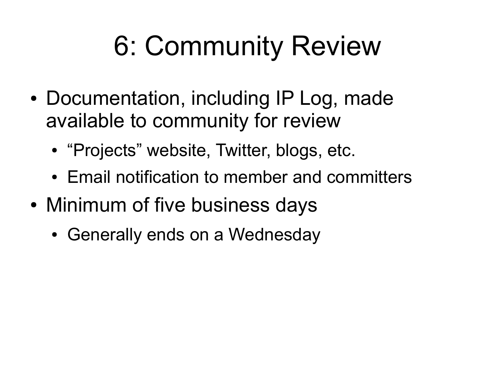# 6: Community Review

- Documentation, including IP Log, made available to community for review
	- "Projects" website, Twitter, blogs, etc.
	- Email notification to member and committers
- Minimum of five business days
	- Generally ends on a Wednesday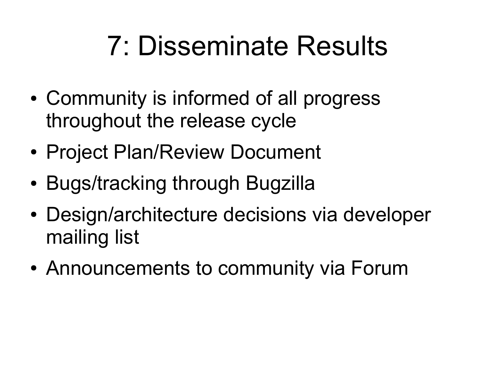## 7: Disseminate Results

- Community is informed of all progress throughout the release cycle
- Project Plan/Review Document
- Bugs/tracking through Bugzilla
- Design/architecture decisions via developer mailing list
- Announcements to community via Forum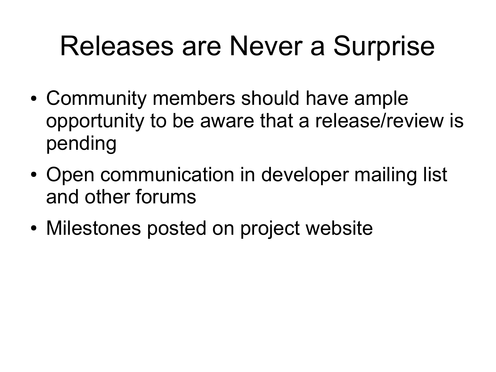## Releases are Never a Surprise

- Community members should have ample opportunity to be aware that a release/review is pending
- Open communication in developer mailing list and other forums
- Milestones posted on project website